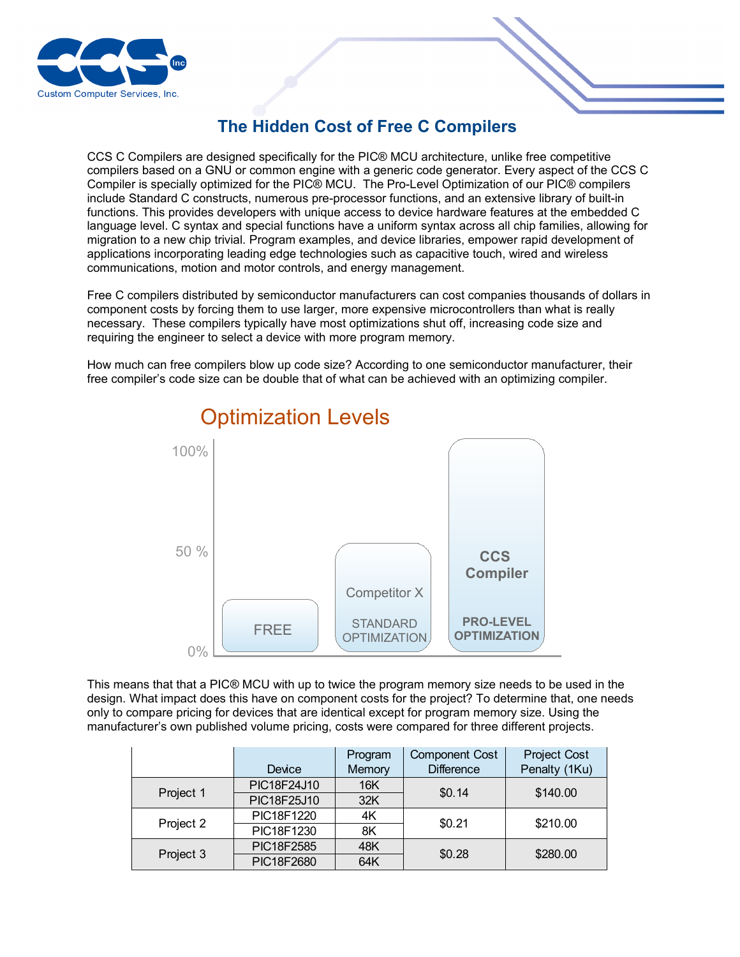

## **The Hidden Cost of Free C Compilers**

CCS C Compilers are designed specifically for the PIC® MCU architecture, unlike free competitive compilers based on a GNU or common engine with a generic code generator. Every aspect of the CCS C Compiler is specially optimized for the PIC® MCU. The Pro-Level Optimization of our PIC® compilers include Standard C constructs, numerous pre-processor functions, and an extensive library of built-in functions. This provides developers with unique access to device hardware features at the embedded C language level. C syntax and special functions have a uniform syntax across all chip families, allowing for migration to a new chip trivial. Program examples, and device libraries, empower rapid development of applications incorporating leading edge technologies such as capacitive touch, wired and wireless communications, motion and motor controls, and energy management.

Free C compilers distributed by semiconductor manufacturers can cost companies thousands of dollars in component costs by forcing them to use larger, more expensive microcontrollers than what is really necessary. These compilers typically have most optimizations shut off, increasing code size and requiring the engineer to select a device with more program memory.

How much can free compilers blow up code size? According to one semiconductor manufacturer, their free compiler's code size can be double that of what can be achieved with an optimizing compiler.



## Optimization Levels

This means that that a PIC® MCU with up to twice the program memory size needs to be used in the design. What impact does this have on component costs for the project? To determine that, one needs only to compare pricing for devices that are identical except for program memory size. Using the manufacturer's own published volume pricing, costs were compared for three different projects.

|           | Device      | Program<br>Memory | <b>Component Cost</b><br><b>Difference</b> | <b>Project Cost</b><br>Penalty (1Ku) |
|-----------|-------------|-------------------|--------------------------------------------|--------------------------------------|
|           |             |                   |                                            |                                      |
| Project 1 | PIC18F24J10 | 16K               | \$0.14                                     | \$140.00                             |
|           | PIC18F25J10 | 32K               |                                            |                                      |
| Project 2 | PIC18F1220  | 4K                | \$0.21                                     | \$210.00                             |
|           | PIC18F1230  | 8K                |                                            |                                      |
| Project 3 | PIC18F2585  | 48K               | \$0.28                                     | \$280.00                             |
|           | PIC18F2680  | 64K               |                                            |                                      |